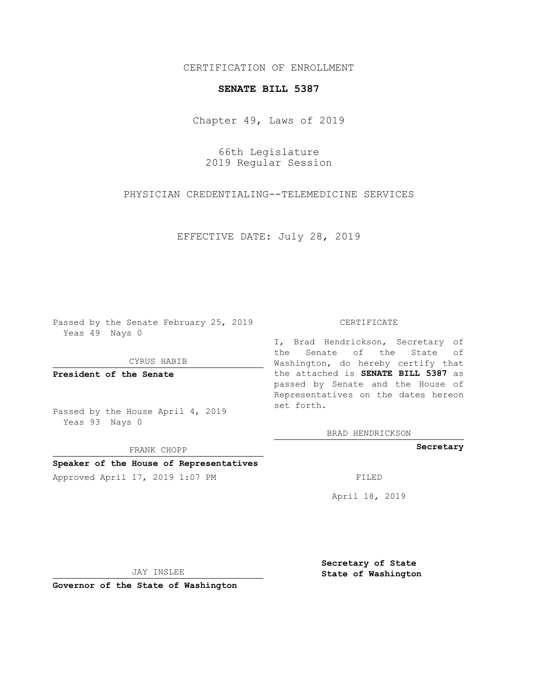CERTIFICATION OF ENROLLMENT

## **SENATE BILL 5387**

Chapter 49, Laws of 2019

66th Legislature 2019 Regular Session

PHYSICIAN CREDENTIALING--TELEMEDICINE SERVICES

EFFECTIVE DATE: July 28, 2019

Passed by the Senate February 25, 2019 Yeas 49 Nays 0

CYRUS HABIB

**President of the Senate**

Passed by the House April 4, 2019 Yeas 93 Nays 0

FRANK CHOPP

## **Speaker of the House of Representatives**

Approved April 17, 2019 1:07 PM FILED

## CERTIFICATE

I, Brad Hendrickson, Secretary of the Senate of the State of Washington, do hereby certify that the attached is **SENATE BILL 5387** as passed by Senate and the House of Representatives on the dates hereon set forth.

BRAD HENDRICKSON

**Secretary**

April 18, 2019

JAY INSLEE

**Governor of the State of Washington**

**Secretary of State State of Washington**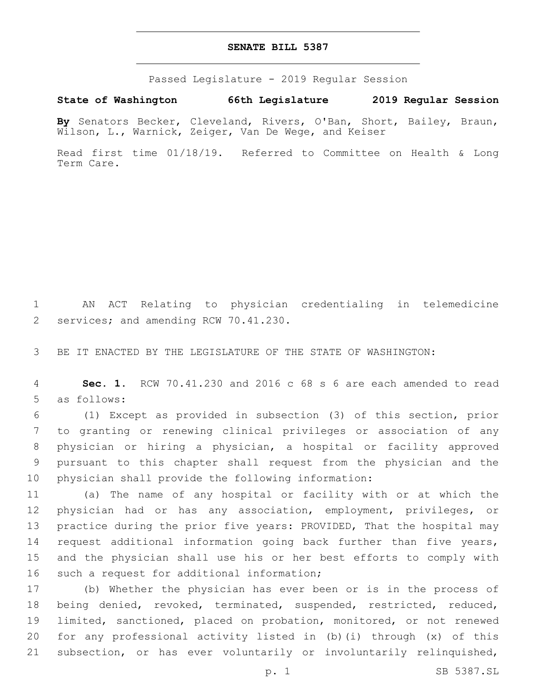## **SENATE BILL 5387**

Passed Legislature - 2019 Regular Session

**State of Washington 66th Legislature 2019 Regular Session**

**By** Senators Becker, Cleveland, Rivers, O'Ban, Short, Bailey, Braun, Wilson, L., Warnick, Zeiger, Van De Wege, and Keiser

Read first time 01/18/19. Referred to Committee on Health & Long Term Care.

 AN ACT Relating to physician credentialing in telemedicine 2 services; and amending RCW 70.41.230.

BE IT ENACTED BY THE LEGISLATURE OF THE STATE OF WASHINGTON:

 **Sec. 1.** RCW 70.41.230 and 2016 c 68 s 6 are each amended to read 5 as follows:

 (1) Except as provided in subsection (3) of this section, prior to granting or renewing clinical privileges or association of any physician or hiring a physician, a hospital or facility approved pursuant to this chapter shall request from the physician and the physician shall provide the following information:

 (a) The name of any hospital or facility with or at which the physician had or has any association, employment, privileges, or practice during the prior five years: PROVIDED, That the hospital may request additional information going back further than five years, and the physician shall use his or her best efforts to comply with 16 such a request for additional information;

 (b) Whether the physician has ever been or is in the process of being denied, revoked, terminated, suspended, restricted, reduced, limited, sanctioned, placed on probation, monitored, or not renewed for any professional activity listed in (b)(i) through (x) of this subsection, or has ever voluntarily or involuntarily relinquished,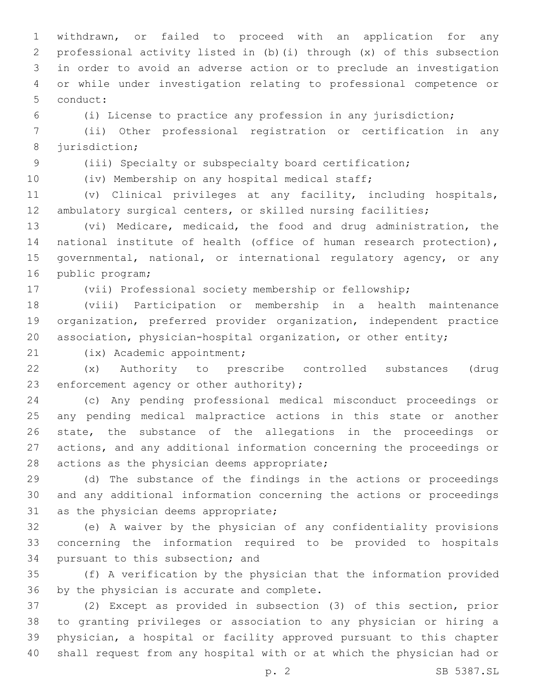withdrawn, or failed to proceed with an application for any professional activity listed in (b)(i) through (x) of this subsection in order to avoid an adverse action or to preclude an investigation or while under investigation relating to professional competence or 5 conduct:

(i) License to practice any profession in any jurisdiction;

 (ii) Other professional registration or certification in any 8 jurisdiction;

 (iii) Specialty or subspecialty board certification; (iv) Membership on any hospital medical staff;

 (v) Clinical privileges at any facility, including hospitals, ambulatory surgical centers, or skilled nursing facilities;

 (vi) Medicare, medicaid, the food and drug administration, the national institute of health (office of human research protection), governmental, national, or international regulatory agency, or any 16 public program;

(vii) Professional society membership or fellowship;

 (viii) Participation or membership in a health maintenance organization, preferred provider organization, independent practice association, physician-hospital organization, or other entity;

21 (ix) Academic appointment;

 (x) Authority to prescribe controlled substances (drug 23 enforcement agency or other authority);

 (c) Any pending professional medical misconduct proceedings or any pending medical malpractice actions in this state or another state, the substance of the allegations in the proceedings or actions, and any additional information concerning the proceedings or 28 actions as the physician deems appropriate;

 (d) The substance of the findings in the actions or proceedings and any additional information concerning the actions or proceedings 31 as the physician deems appropriate;

 (e) A waiver by the physician of any confidentiality provisions concerning the information required to be provided to hospitals 34 pursuant to this subsection; and

 (f) A verification by the physician that the information provided 36 by the physician is accurate and complete.

 (2) Except as provided in subsection (3) of this section, prior to granting privileges or association to any physician or hiring a physician, a hospital or facility approved pursuant to this chapter shall request from any hospital with or at which the physician had or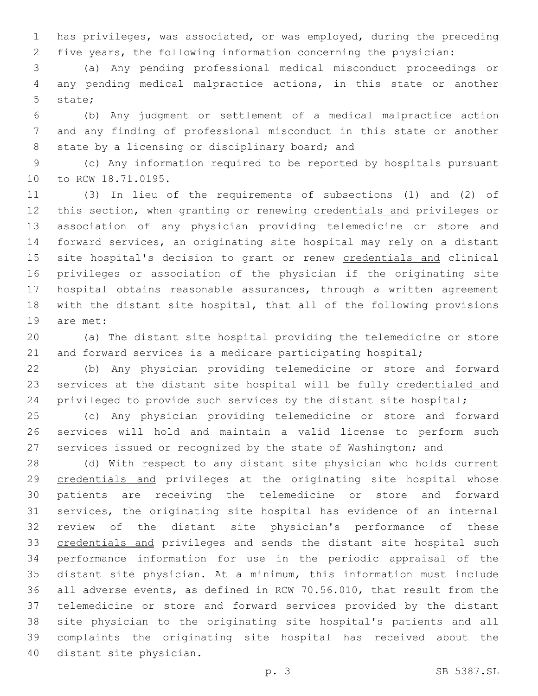has privileges, was associated, or was employed, during the preceding five years, the following information concerning the physician:

 (a) Any pending professional medical misconduct proceedings or any pending medical malpractice actions, in this state or another 5 state:

 (b) Any judgment or settlement of a medical malpractice action and any finding of professional misconduct in this state or another 8 state by a licensing or disciplinary board; and

 (c) Any information required to be reported by hospitals pursuant 10 to RCW 18.71.0195.

 (3) In lieu of the requirements of subsections (1) and (2) of 12 this section, when granting or renewing credentials and privileges or association of any physician providing telemedicine or store and forward services, an originating site hospital may rely on a distant 15 site hospital's decision to grant or renew credentials and clinical privileges or association of the physician if the originating site hospital obtains reasonable assurances, through a written agreement with the distant site hospital, that all of the following provisions 19 are met:

 (a) The distant site hospital providing the telemedicine or store 21 and forward services is a medicare participating hospital;

 (b) Any physician providing telemedicine or store and forward 23 services at the distant site hospital will be fully credentialed and 24 privileged to provide such services by the distant site hospital;

 (c) Any physician providing telemedicine or store and forward services will hold and maintain a valid license to perform such services issued or recognized by the state of Washington; and

 (d) With respect to any distant site physician who holds current credentials and privileges at the originating site hospital whose patients are receiving the telemedicine or store and forward services, the originating site hospital has evidence of an internal review of the distant site physician's performance of these credentials and privileges and sends the distant site hospital such performance information for use in the periodic appraisal of the distant site physician. At a minimum, this information must include all adverse events, as defined in RCW 70.56.010, that result from the telemedicine or store and forward services provided by the distant site physician to the originating site hospital's patients and all complaints the originating site hospital has received about the 40 distant site physician.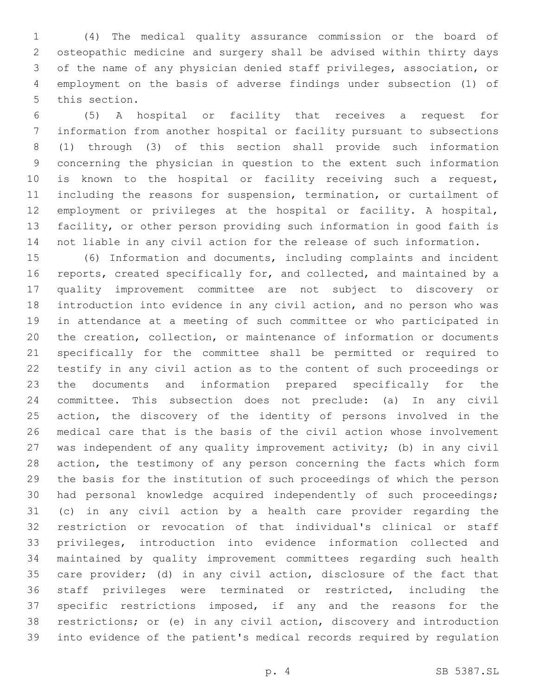(4) The medical quality assurance commission or the board of osteopathic medicine and surgery shall be advised within thirty days of the name of any physician denied staff privileges, association, or employment on the basis of adverse findings under subsection (1) of 5 this section.

 (5) A hospital or facility that receives a request for information from another hospital or facility pursuant to subsections (1) through (3) of this section shall provide such information concerning the physician in question to the extent such information is known to the hospital or facility receiving such a request, including the reasons for suspension, termination, or curtailment of employment or privileges at the hospital or facility. A hospital, facility, or other person providing such information in good faith is not liable in any civil action for the release of such information.

 (6) Information and documents, including complaints and incident reports, created specifically for, and collected, and maintained by a quality improvement committee are not subject to discovery or introduction into evidence in any civil action, and no person who was in attendance at a meeting of such committee or who participated in the creation, collection, or maintenance of information or documents specifically for the committee shall be permitted or required to testify in any civil action as to the content of such proceedings or the documents and information prepared specifically for the committee. This subsection does not preclude: (a) In any civil action, the discovery of the identity of persons involved in the medical care that is the basis of the civil action whose involvement was independent of any quality improvement activity; (b) in any civil action, the testimony of any person concerning the facts which form the basis for the institution of such proceedings of which the person had personal knowledge acquired independently of such proceedings; (c) in any civil action by a health care provider regarding the restriction or revocation of that individual's clinical or staff privileges, introduction into evidence information collected and maintained by quality improvement committees regarding such health care provider; (d) in any civil action, disclosure of the fact that staff privileges were terminated or restricted, including the specific restrictions imposed, if any and the reasons for the restrictions; or (e) in any civil action, discovery and introduction into evidence of the patient's medical records required by regulation